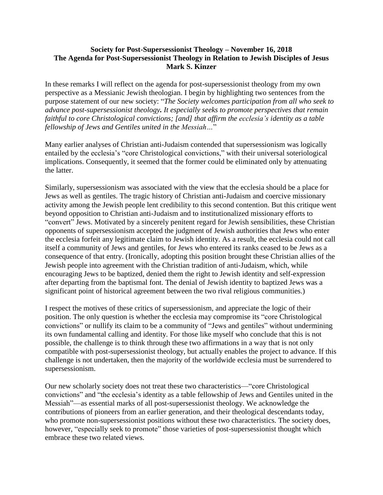## **Society for Post-Supersessionist Theology – November 16, 2018 The Agenda for Post-Supersessionist Theology in Relation to Jewish Disciples of Jesus Mark S. Kinzer**

In these remarks I will reflect on the agenda for post-supersessionist theology from my own perspective as a Messianic Jewish theologian. I begin by highlighting two sentences from the purpose statement of our new society: "*The Society welcomes participation from all who seek to advance post-supersessionist theology. It especially seeks to promote perspectives that remain faithful to core Christological convictions; [and] that affirm the ecclesia's identity as a table fellowship of Jews and Gentiles united in the Messiah…*"

Many earlier analyses of Christian anti-Judaism contended that supersessionism was logically entailed by the ecclesia's "core Christological convictions," with their universal soteriological implications. Consequently, it seemed that the former could be eliminated only by attenuating the latter.

Similarly, supersessionism was associated with the view that the ecclesia should be a place for Jews as well as gentiles. The tragic history of Christian anti-Judaism and coercive missionary activity among the Jewish people lent credibility to this second contention. But this critique went beyond opposition to Christian anti-Judaism and to institutionalized missionary efforts to "convert" Jews. Motivated by a sincerely penitent regard for Jewish sensibilities, these Christian opponents of supersessionism accepted the judgment of Jewish authorities that Jews who enter the ecclesia forfeit any legitimate claim to Jewish identity. As a result, the ecclesia could not call itself a community of Jews and gentiles, for Jews who entered its ranks ceased to be Jews as a consequence of that entry. (Ironically, adopting this position brought these Christian allies of the Jewish people into agreement with the Christian tradition of anti-Judaism, which, while encouraging Jews to be baptized, denied them the right to Jewish identity and self-expression after departing from the baptismal font. The denial of Jewish identity to baptized Jews was a significant point of historical agreement between the two rival religious communities.)

I respect the motives of these critics of supersessionism, and appreciate the logic of their position. The only question is whether the ecclesia may compromise its "core Christological convictions" or nullify its claim to be a community of "Jews and gentiles" without undermining its own fundamental calling and identity. For those like myself who conclude that this is not possible, the challenge is to think through these two affirmations in a way that is not only compatible with post-supersessionist theology, but actually enables the project to advance. If this challenge is not undertaken, then the majority of the worldwide ecclesia must be surrendered to supersessionism.

Our new scholarly society does not treat these two characteristics—"core Christological convictions" and "the ecclesia's identity as a table fellowship of Jews and Gentiles united in the Messiah"—as essential marks of all post-supersessionist theology. We acknowledge the contributions of pioneers from an earlier generation, and their theological descendants today, who promote non-supersessionist positions without these two characteristics. The society does, however, "especially seek to promote" those varieties of post-supersessionist thought which embrace these two related views.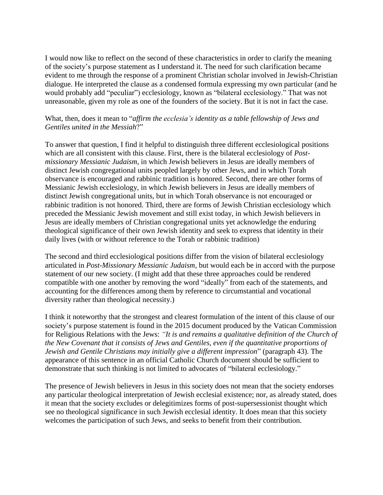I would now like to reflect on the second of these characteristics in order to clarify the meaning of the society's purpose statement as I understand it. The need for such clarification became evident to me through the response of a prominent Christian scholar involved in Jewish-Christian dialogue. He interpreted the clause as a condensed formula expressing my own particular (and he would probably add "peculiar") ecclesiology, known as "bilateral ecclesiology." That was not unreasonable, given my role as one of the founders of the society. But it is not in fact the case.

## What, then, does it mean to "*affirm the ecclesia's identity as a table fellowship of Jews and Gentiles united in the Messiah*?"

To answer that question, I find it helpful to distinguish three different ecclesiological positions which are all consistent with this clause. First, there is the bilateral ecclesiology of *Postmissionary Messianic Judaism*, in which Jewish believers in Jesus are ideally members of distinct Jewish congregational units peopled largely by other Jews, and in which Torah observance is encouraged and rabbinic tradition is honored. Second, there are other forms of Messianic Jewish ecclesiology, in which Jewish believers in Jesus are ideally members of distinct Jewish congregational units, but in which Torah observance is not encouraged or rabbinic tradition is not honored. Third, there are forms of Jewish Christian ecclesiology which preceded the Messianic Jewish movement and still exist today, in which Jewish believers in Jesus are ideally members of Christian congregational units yet acknowledge the enduring theological significance of their own Jewish identity and seek to express that identity in their daily lives (with or without reference to the Torah or rabbinic tradition)

The second and third ecclesiological positions differ from the vision of bilateral ecclesiology articulated in *Post-Missionary Messianic Judaism*, but would each be in accord with the purpose statement of our new society. (I might add that these three approaches could be rendered compatible with one another by removing the word "ideally" from each of the statements, and accounting for the differences among them by reference to circumstantial and vocational diversity rather than theological necessity.)

I think it noteworthy that the strongest and clearest formulation of the intent of this clause of our society's purpose statement is found in the 2015 document produced by the Vatican Commission for Religious Relations with the Jews: *"It is and remains a qualitative definition of the Church of the New Covenant that it consists of Jews and Gentiles, even if the quantitative proportions of Jewish and Gentile Christians may initially give a different impression*" (paragraph 43). The appearance of this sentence in an official Catholic Church document should be sufficient to demonstrate that such thinking is not limited to advocates of "bilateral ecclesiology."

The presence of Jewish believers in Jesus in this society does not mean that the society endorses any particular theological interpretation of Jewish ecclesial existence; nor, as already stated, does it mean that the society excludes or delegitimizes forms of post-supersessionist thought which see no theological significance in such Jewish ecclesial identity. It does mean that this society welcomes the participation of such Jews, and seeks to benefit from their contribution.